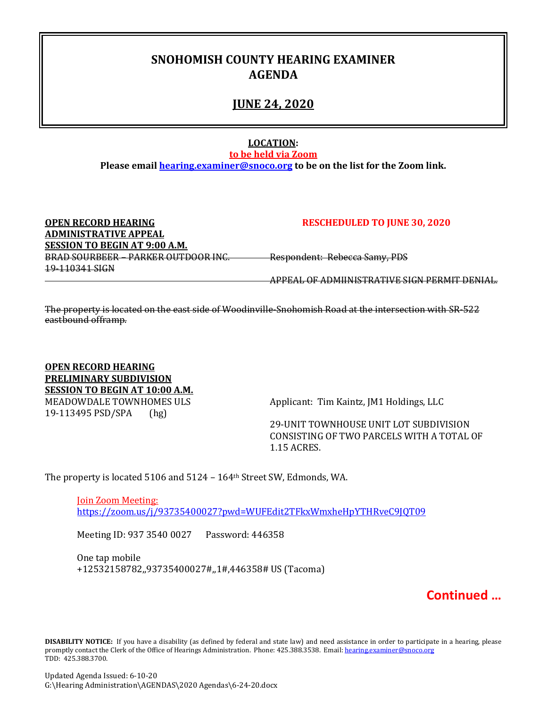# **SNOHOMISH COUNTY HEARING EXAMINER AGENDA**

## **JUNE 24, 2020**

### **LOCATION:**

**to be held via Zoom**

**Please email [hearing.examiner@snoco.org](mailto:hearing.examiner@snoco.org) to be on the list for the Zoom link.**

| <b>OPEN RECORD HEARING</b>          | <b>RESCHEDULED TO JUNE 30, 2020</b>          |
|-------------------------------------|----------------------------------------------|
| <b>ADMINISTRATIVE APPEAL</b>        |                                              |
| SESSION TO BEGIN AT 9:00 A.M.       |                                              |
| BRAD SOURBEER - PARKER OUTDOOR INC. | Respondent: Rebecca Samy, PDS                |
| 19-110341 SIGN                      |                                              |
|                                     | ADDEAL OF ADMIINICTDATIVE CICN DEDMIT DENIAL |

The property is located on the east side of Woodinville-Snohomish Road at the intersection with SR-522 eastbound offramp.

**OPEN RECORD HEARING PRELIMINARY SUBDIVISION SESSION TO BEGIN AT 10:00 A.M.** MEADOWDALE TOWNHOMES ULS<br>19-113495 PSD/SPA (hg) (hg) 19-113495 PSD/SPA

29-UNIT TOWNHOUSE UNIT LOT SUBDIVISION CONSISTING OF TWO PARCELS WITH A TOTAL OF 1.15 ACRES.

The property is located 5106 and 5124 – 164th Street SW, Edmonds, WA.

Join Zoom Meeting: <https://zoom.us/j/93735400027?pwd=WUFEdit2TFkxWmxheHpYTHRveC9JQT09>

Meeting ID: 937 3540 0027 Password: 446358

One tap mobile +12532158782,,93735400027#,,1#,446358# US (Tacoma)

**Continued …**

**DISABILITY NOTICE:** If you have a disability (as defined by federal and state law) and need assistance in order to participate in a hearing, please promptly contact the Clerk of the Office of Hearings Administration. Phone: 425.388.3538. Email: hearing.examiner@snoco.org TDD: 425.388.3700.

Updated Agenda Issued: 6-10-20 G:\Hearing Administration\AGENDAS\2020 Agendas\6-24-20.docx